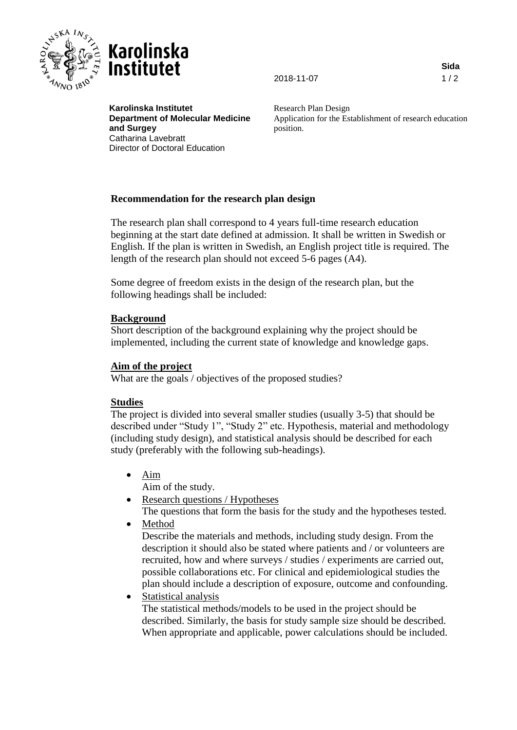



2018-11-07 1 / 2

**Sida**

**Karolinska Institutet Department of Molecular Medicine and Surgey** Catharina Lavebratt Director of Doctoral Education

Research Plan Design Application for the Establishment of research education position.

# **Recommendation for the research plan design**

The research plan shall correspond to 4 years full-time research education beginning at the start date defined at admission. It shall be written in Swedish or English. If the plan is written in Swedish, an English project title is required. The length of the research plan should not exceed 5-6 pages (A4).

Some degree of freedom exists in the design of the research plan, but the following headings shall be included:

## **Background**

Short description of the background explaining why the project should be implemented, including the current state of knowledge and knowledge gaps.

## **Aim of the project**

What are the goals / objectives of the proposed studies?

## **Studies**

The project is divided into several smaller studies (usually 3-5) that should be described under "Study 1", "Study 2" etc. Hypothesis, material and methodology (including study design), and statistical analysis should be described for each study (preferably with the following sub-headings).

- Aim
	- Aim of the study.
- Research questions / Hypotheses
- The questions that form the basis for the study and the hypotheses tested.
- Method

Describe the materials and methods, including study design. From the description it should also be stated where patients and / or volunteers are recruited, how and where surveys / studies / experiments are carried out, possible collaborations etc. For clinical and epidemiological studies the plan should include a description of exposure, outcome and confounding.

• Statistical analysis

The statistical methods/models to be used in the project should be described. Similarly, the basis for study sample size should be described. When appropriate and applicable, power calculations should be included.